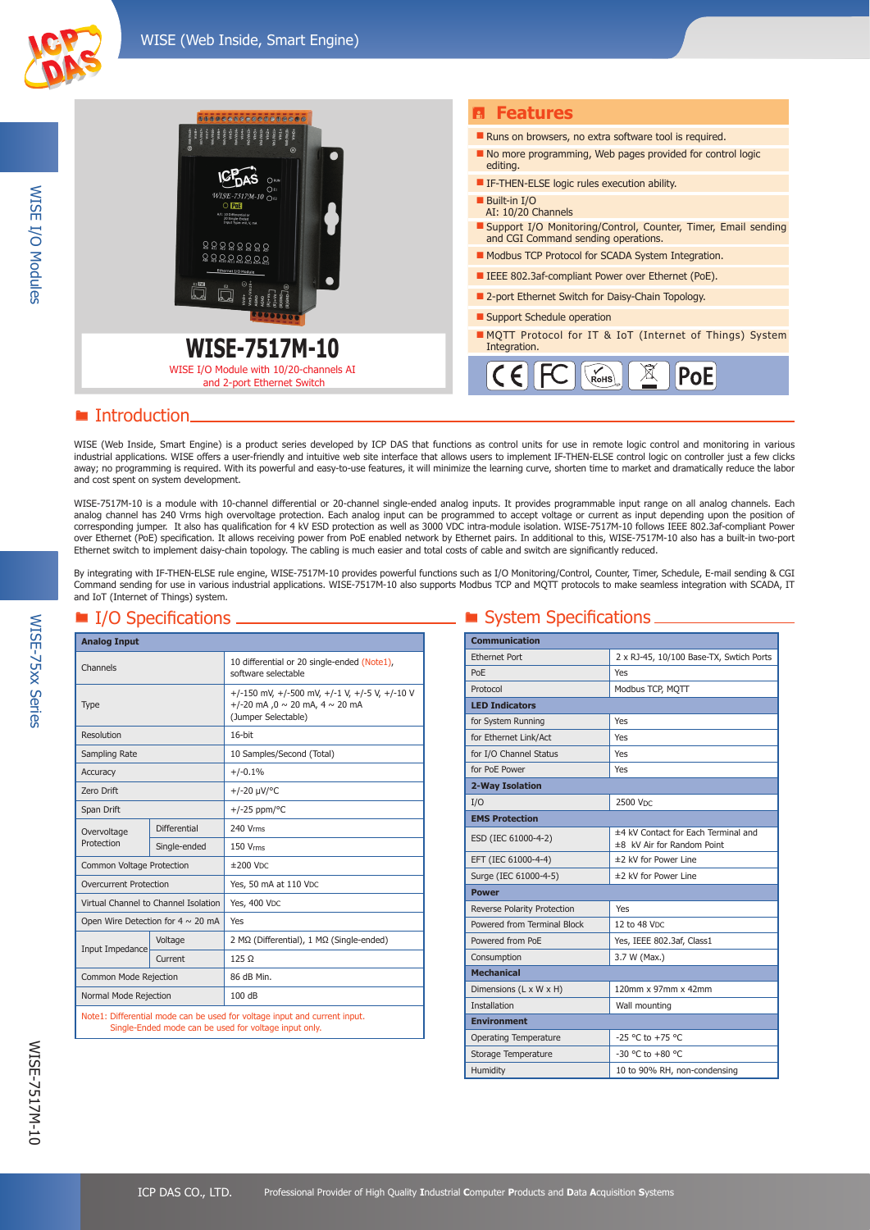WISE I/O Modules

**WISE I/O Modules** 



## **E** Introduction.

WISE (Web Inside, Smart Engine) is a product series developed by ICP DAS that functions as control units for use in remote logic control and monitoring in various industrial applications. WISE offers a user-friendly and intuitive web site interface that allows users to implement IF-THEN-ELSE control logic on controller just a few clicks away; no programming is required. With its powerful and easy-to-use features, it will minimize the learning curve, shorten time to market and dramatically reduce the labor and cost spent on system development.

WISE-7517M-10 is a module with 10-channel differential or 20-channel single-ended analog inputs. It provides programmable input range on all analog channels. Each analog channel has 240 Vrms high overvoltage protection. Each analog input can be programmed to accept voltage or current as input depending upon the position of corresponding jumper. It also has qualification for 4 kV ESD protection as well as 3000 VDC intra-module isolation. WISE-7517M-10 follows IEEE 802.3af-compliant Power over Ethernet (PoE) specification. It allows receiving power from PoE enabled network by Ethernet pairs. In additional to this, WISE-7517M-10 also has a built-in two-port Ethernet switch to implement daisy-chain topology. The cabling is much easier and total costs of cable and switch are significantly reduced.

By integrating with IF-THEN-ELSE rule engine, WISE-7517M-10 provides powerful functions such as I/O Monitoring/Control, Counter, Timer, Schedule, E-mail sending & CGI Command sending for use in various industrial applications. WISE-7517M-10 also supports Modbus TCP and MQTT protocols to make seamless integration with SCADA, IT and IoT (Internet of Things) system.

| <b>Analog Input</b>                                                                                                                |                     |                                                                                                                  |  |
|------------------------------------------------------------------------------------------------------------------------------------|---------------------|------------------------------------------------------------------------------------------------------------------|--|
| Channels                                                                                                                           |                     | 10 differential or 20 single-ended (Note1),<br>software selectable                                               |  |
| Type                                                                                                                               |                     | +/-150 mV, +/-500 mV, +/-1 V, +/-5 V, +/-10 V<br>+/-20 mA, 0 $\sim$ 20 mA, 4 $\sim$ 20 mA<br>(Jumper Selectable) |  |
| Resolution                                                                                                                         |                     | $16$ -bit                                                                                                        |  |
| Sampling Rate                                                                                                                      |                     | 10 Samples/Second (Total)                                                                                        |  |
| Accuracy                                                                                                                           |                     | $+/-0.1%$                                                                                                        |  |
| Zero Drift                                                                                                                         |                     | $+/-20 \mu V$ <sup>o</sup> C                                                                                     |  |
| Span Drift                                                                                                                         |                     | $+/-25$ ppm/°C                                                                                                   |  |
| Overvoltage                                                                                                                        | <b>Differential</b> | 240 Vrms                                                                                                         |  |
| Protection                                                                                                                         | Single-ended        | 150 Vrms                                                                                                         |  |
| Common Voltage Protection                                                                                                          |                     | $±200$ VDC                                                                                                       |  |
| <b>Overcurrent Protection</b>                                                                                                      |                     | Yes, 50 mA at 110 VDC                                                                                            |  |
| Virtual Channel to Channel Isolation                                                                                               |                     | <b>Yes, 400 VDC</b>                                                                                              |  |
| Open Wire Detection for $4 \sim 20$ mA                                                                                             |                     | Yes                                                                                                              |  |
| Input Impedance                                                                                                                    | Voltage             | 2 MΩ (Differential), 1 MΩ (Single-ended)                                                                         |  |
|                                                                                                                                    | Current             | $125 \Omega$                                                                                                     |  |
| Common Mode Rejection                                                                                                              |                     | 86 dB Min.                                                                                                       |  |
| Normal Mode Rejection                                                                                                              |                     | 100 dB                                                                                                           |  |
| Note1: Differential mode can be used for voltage input and current input.<br>Single-Ended mode can be used for voltage input only. |                     |                                                                                                                  |  |

### ■ I/O Specifications ■ System Specifications ■ System Specifications ■

| <b>Communication</b>         |                                                                   |  |
|------------------------------|-------------------------------------------------------------------|--|
| <b>Ethernet Port</b>         | 2 x RJ-45, 10/100 Base-TX, Swtich Ports                           |  |
| PoF                          | Yes                                                               |  |
| Protocol                     | Modbus TCP, MOTT                                                  |  |
| <b>LED Indicators</b>        |                                                                   |  |
| for System Running           | Yes                                                               |  |
| for Ethernet Link/Act        | Yes                                                               |  |
| for I/O Channel Status       | Yes                                                               |  |
| for PoE Power                | Yes                                                               |  |
| 2-Way Isolation              |                                                                   |  |
| I/O                          | 2500 V <sub>DC</sub>                                              |  |
| <b>EMS Protection</b>        |                                                                   |  |
| ESD (IEC 61000-4-2)          | ±4 kV Contact for Each Terminal and<br>±8 kV Air for Random Point |  |
| EFT (IEC 61000-4-4)          | ±2 kV for Power Line                                              |  |
| Surge (IEC 61000-4-5)        | ±2 kV for Power Line                                              |  |
| <b>Power</b>                 |                                                                   |  |
| Reverse Polarity Protection  | Yes                                                               |  |
| Powered from Terminal Block  | 12 to 48 VDC                                                      |  |
| Powered from PoE             | Yes, IEEE 802.3af, Class1                                         |  |
| Consumption                  | 3.7 W (Max.)                                                      |  |
| <b>Mechanical</b>            |                                                                   |  |
| Dimensions (L x W x H)       | 120mm x 97mm x 42mm                                               |  |
| <b>Installation</b>          | Wall mounting                                                     |  |
| <b>Environment</b>           |                                                                   |  |
| <b>Operating Temperature</b> | $-25$ °C to $+75$ °C                                              |  |
| Storage Temperature          | $-30$ °C to $+80$ °C                                              |  |
| Humidity                     | 10 to 90% RH, non-condensing                                      |  |

WISE-75xx Series

**WISE-75xx Series**